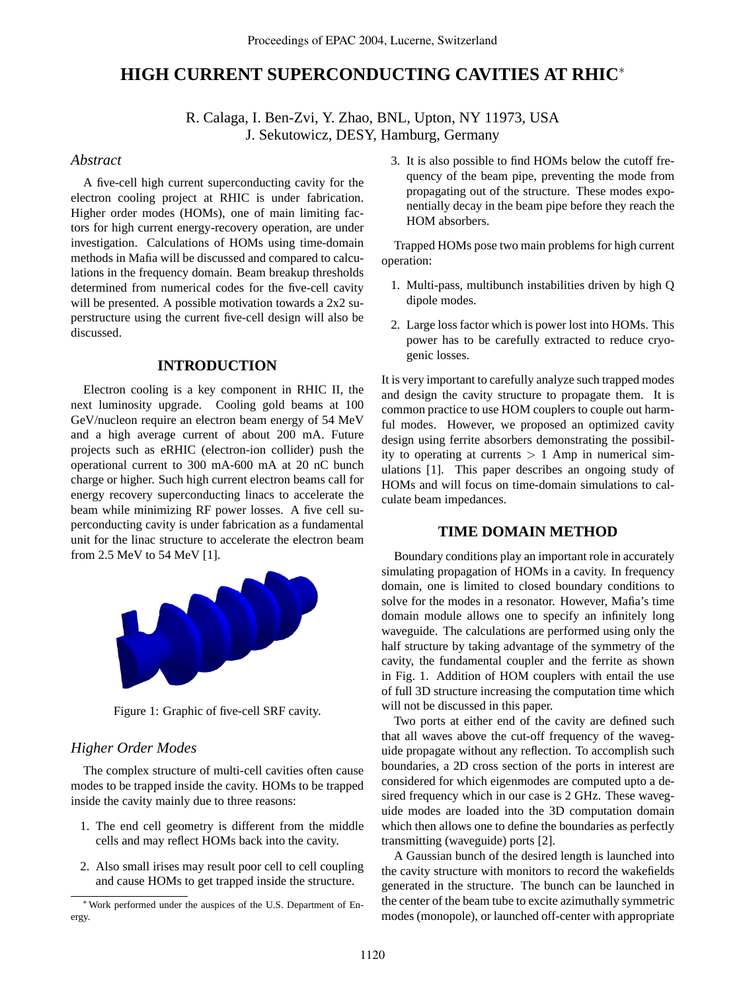# **HIGH CURRENT SUPERCONDUCTING CAVITIES AT RHIC**<sup>∗</sup>

R. Calaga, I. Ben-Zvi, Y. Zhao, BNL, Upton, NY 11973, USA J. Sekutowicz, DESY, Hamburg, Germany

# *Abstract*

A five-cell high current superconducting cavity for the electron cooling project at RHIC is under fabrication. Higher order modes (HOMs), one of main limiting factors for high current energy-recovery operation, are under investigation. Calculations of HOMs using time-domain methods in Mafia will be discussed and compared to calculations in the frequency domain. Beam breakup thresholds determined from numerical codes for the five-cell cavity will be presented. A possible motivation towards a 2x2 superstructure using the current five-cell design will also be discussed.

# **INTRODUCTION**

Electron cooling is a key component in RHIC II, the next luminosity upgrade. Cooling gold beams at 100 GeV/nucleon require an electron beam energy of 54 MeV and a high average current of about 200 mA. Future projects such as eRHIC (electron-ion collider) push the operational current to 300 mA-600 mA at 20 nC bunch charge or higher. Such high current electron beams call for energy recovery superconducting linacs to accelerate the beam while minimizing RF power losses. A five cell superconducting cavity is under fabrication as a fundamental unit for the linac structure to accelerate the electron beam from 2.5 MeV to 54 MeV [1].



Figure 1: Graphic of five-cell SRF cavity.

# *Higher Order Modes*

The complex structure of multi-cell cavities often cause modes to be trapped inside the cavity. HOMs to be trapped inside the cavity mainly due to three reasons:

- 1. The end cell geometry is different from the middle cells and may reflect HOMs back into the cavity.
- 2. Also small irises may result poor cell to cell coupling and cause HOMs to get trapped inside the structure.

3. It is also possible to find HOMs below the cutoff frequency of the beam pipe, preventing the mode from propagating out of the structure. These modes exponentially decay in the beam pipe before they reach the HOM absorbers.

Trapped HOMs pose two main problems for high current operation:

- 1. Multi-pass, multibunch instabilities driven by high Q dipole modes.
- 2. Large loss factor which is power lost into HOMs. This power has to be carefully extracted to reduce cryogenic losses.

It is very important to carefully analyze such trapped modes and design the cavity structure to propagate them. It is common practice to use HOM couplers to couple out harmful modes. However, we proposed an optimized cavity design using ferrite absorbers demonstrating the possibility to operating at currents  $> 1$  Amp in numerical simulations [1]. This paper describes an ongoing study of HOMs and will focus on time-domain simulations to calculate beam impedances.

### **TIME DOMAIN METHOD**

Boundary conditions play an important role in accurately simulating propagation of HOMs in a cavity. In frequency domain, one is limited to closed boundary conditions to solve for the modes in a resonator. However, Mafia's time domain module allows one to specify an infinitely long waveguide. The calculations are performed using only the half structure by taking advantage of the symmetry of the cavity, the fundamental coupler and the ferrite as shown in Fig. 1. Addition of HOM couplers with entail the use of full 3D structure increasing the computation time which will not be discussed in this paper.

Two ports at either end of the cavity are defined such that all waves above the cut-off frequency of the waveguide propagate without any reflection. To accomplish such boundaries, a 2D cross section of the ports in interest are considered for which eigenmodes are computed upto a desired frequency which in our case is 2 GHz. These waveguide modes are loaded into the 3D computation domain which then allows one to define the boundaries as perfectly transmitting (waveguide) ports [2].

A Gaussian bunch of the desired length is launched into the cavity structure with monitors to record the wakefields generated in the structure. The bunch can be launched in the center of the beam tube to excite azimuthally symmetric modes (monopole), or launched off-center with appropriate

<sup>∗</sup>Work performed under the auspices of the U.S. Department of Energy.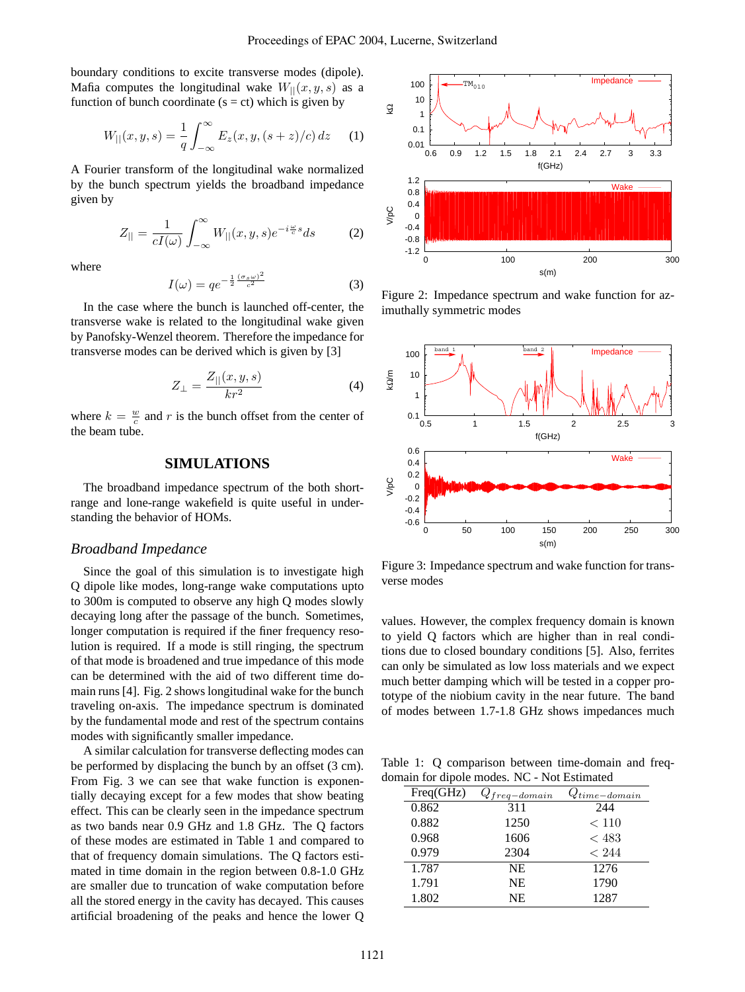boundary conditions to excite transverse modes (dipole). Mafia computes the longitudinal wake  $W_{\parallel}(x, y, s)$  as a function of bunch coordinate  $(s = ct)$  which is given by

$$
W_{||}(x,y,s) = \frac{1}{q} \int_{-\infty}^{\infty} E_z(x,y,(s+z)/c) \, dz \tag{1}
$$

A Fourier transform of the longitudinal wake normalized by the bunch spectrum yields the broadband impedance given by

$$
Z_{||} = \frac{1}{cI(\omega)} \int_{-\infty}^{\infty} W_{||}(x, y, s) e^{-i\frac{\omega}{c}s} ds \tag{2}
$$

where

$$
I(\omega) = q e^{-\frac{1}{2} \frac{(\sigma_s \omega)^2}{c^2}} \tag{3}
$$

In the case where the bunch is launched off-center, the transverse wake is related to the longitudinal wake given by Panofsky-Wenzel theorem. Therefore the impedance for transverse modes can be derived which is given by [3]

$$
Z_{\perp} = \frac{Z_{||}(x, y, s)}{kr^2} \tag{4}
$$

where  $k = \frac{w}{c}$  and r is the bunch offset from the center of the beam tube.

### **SIMULATIONS**

The broadband impedance spectrum of the both shortrange and lone-range wakefield is quite useful in understanding the behavior of HOMs.

#### *Broadband Impedance*

Since the goal of this simulation is to investigate high Q dipole like modes, long-range wake computations upto to 300m is computed to observe any high Q modes slowly decaying long after the passage of the bunch. Sometimes, longer computation is required if the finer frequency resolution is required. If a mode is still ringing, the spectrum of that mode is broadened and true impedance of this mode can be determined with the aid of two different time domain runs [4]. Fig. 2 shows longitudinal wake for the bunch traveling on-axis. The impedance spectrum is dominated by the fundamental mode and rest of the spectrum contains modes with significantly smaller impedance.

A similar calculation for transverse deflecting modes can be performed by displacing the bunch by an offset (3 cm). From Fig. 3 we can see that wake function is exponentially decaying except for a few modes that show beating effect. This can be clearly seen in the impedance spectrum as two bands near 0.9 GHz and 1.8 GHz. The Q factors of these modes are estimated in Table 1 and compared to that of frequency domain simulations. The Q factors estimated in time domain in the region between 0.8-1.0 GHz are smaller due to truncation of wake computation before all the stored energy in the cavity has decayed. This causes artificial broadening of the peaks and hence the lower Q



Figure 2: Impedance spectrum and wake function for azimuthally symmetric modes



Figure 3: Impedance spectrum and wake function for transverse modes

values. However, the complex frequency domain is known to yield Q factors which are higher than in real conditions due to closed boundary conditions [5]. Also, ferrites can only be simulated as low loss materials and we expect much better damping which will be tested in a copper prototype of the niobium cavity in the near future. The band of modes between 1.7-1.8 GHz shows impedances much

Table 1: Q comparison between time-domain and freqdomain for dipole modes. NC - Not Estimated

| Freq(GHz) | $Q_{freq-domain}$ | $Q_{time-domain}$ |
|-----------|-------------------|-------------------|
| 0.862     | 311               | 244               |
| 0.882     | 1250              | < 110             |
| 0.968     | 1606              | < 483             |
| 0.979     | 2304              | < 244             |
| 1.787     | <b>NE</b>         | 1276              |
| 1.791     | <b>NE</b>         | 1790              |
| 1.802     | <b>NE</b>         | 1287              |